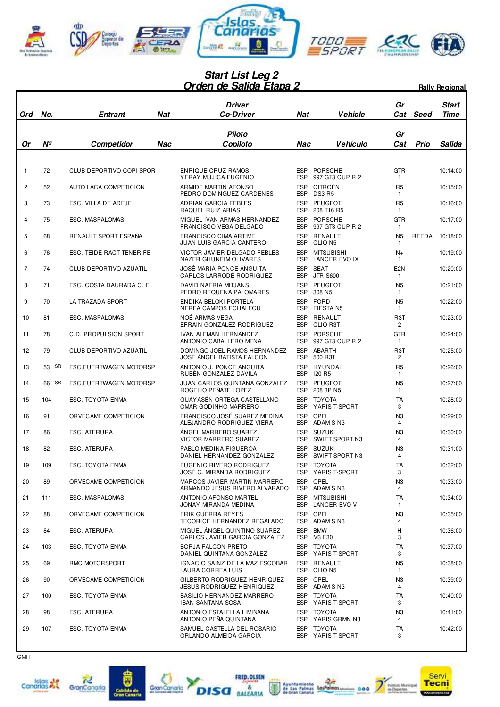

## **Orden de Salida Etapa 2 Start List Leg 2** *Drden de Salida Etapa 2* Rally Regional

| Ord          | No.      | <b>Entrant</b>           | Nat | <b>Driver</b><br><b>Co-Driver</b>                                                  | Nat                                    | <b>Vehicle</b>                                          | Gr<br>Cat                             | Seed  | <b>Start</b><br>Time |
|--------------|----------|--------------------------|-----|------------------------------------------------------------------------------------|----------------------------------------|---------------------------------------------------------|---------------------------------------|-------|----------------------|
|              |          |                          |     |                                                                                    |                                        |                                                         |                                       |       |                      |
| Or           | Nº       | Competidor               | Nac | <b>Piloto</b><br>Copiloto                                                          | Nac                                    | <b>Vehículo</b>                                         | Gr<br>Cat                             | Prio  | <b>Salida</b>        |
|              |          |                          |     |                                                                                    |                                        |                                                         |                                       |       |                      |
| $\mathbf{1}$ | 72       | CLUB DEPORTIVO COPI SPOR |     | ENRIQUE CRUZ RAMOS<br>YERAY MUJICA EUGENIO                                         | <b>ESP</b><br><b>ESP</b>               | <b>PORSCHE</b><br>997 GT3 CUP R 2                       | <b>GTR</b><br>1                       |       | 10:14:00             |
| 2            | 52       | AUTO LACA COMPETICION    |     | ARMIDE MARTIN AFONSO                                                               | <b>ESP</b>                             | CITROËN                                                 | R <sub>5</sub>                        |       | 10:15:00             |
| 3            | 73       | ESC. VILLA DE ADEJE      |     | PEDRO DOMINGUEZ CARDENES<br>ADRIAN GARCIA FEBLES<br>RAQUEL RUIZ ARIAS              | <b>ESP</b><br><b>ESP</b><br><b>ESP</b> | <b>DS3 R5</b><br><b>PEUGEOT</b><br>208 T16 R5           | 1<br>R <sub>5</sub><br>1              |       | 10:16:00             |
| 4            | 75       | ESC. MASPALOMAS          |     | MIGUEL IVAN ARMAS HERNANDEZ                                                        | <b>ESP</b><br><b>ESP</b>               | <b>PORSCHE</b>                                          | <b>GTR</b>                            |       | 10:17:00             |
| 5            | 68       | RENAULT SPORT ESPAÑA     |     | FRANCISCO VEGA DELGADO<br><b>FRANCISCO CIMA ARTIME</b><br>JUAN LUIS GARCIA CANTERO | <b>ESP</b><br><b>ESP</b>               | 997 GT3 CUP R 2<br><b>RENAULT</b><br>CLIO <sub>N5</sub> | 1<br>N <sub>5</sub><br>1              | RFEDA | 10:18:00             |
| 6            | 76       | ESC. TEIDE RACT TENERIFE |     | VICTOR JAVIER DELGADO FEBLES<br>NAZER GHUNEIM OLIVARES                             | <b>ESP</b><br><b>ESP</b>               | <b>MITSUBISHI</b><br>LANCER EVO IX                      | $N+$<br>1                             |       | 10:19:00             |
| 7            | 74       | CLUB DEPORTIVO AZUATIL   |     | JOSÉ MARIA PONCE ANGUITA<br>CARLOS LARRODÉ RODRIGUEZ                               | <b>ESP</b><br><b>ESP</b>               | <b>SEAT</b>                                             | E <sub>2N</sub>                       |       | 10:20:00             |
| 8            | 71       | ESC. COSTA DAURADA C. E. |     | <b>DAVID NAFRIA MITJANS</b><br>PEDRO REQUENA PALOMARES                             | <b>ESP</b><br><b>ESP</b>               | <b>JTR S600</b><br><b>PEUGEOT</b><br>308 N <sub>5</sub> | $\mathbf{1}$<br>N <sub>5</sub><br>1   |       | 10:21:00             |
| 9            | 70       | LA TRAZADA SPORT         |     | ENDIKA BELOKI PORTELA                                                              | <b>ESP</b><br><b>ESP</b>               | <b>FORD</b><br><b>FIESTA N5</b>                         | N <sub>5</sub>                        |       | 10:22:00             |
| 10           | 81       | ESC. MASPALOMAS          |     | NEREA CAMPOS ECHALECU<br>NOÉ ARMAS VEGA<br>EFRAIN GONZALEZ RODRIGUEZ               | <b>ESP</b><br>ESP                      | <b>RENAULT</b><br><b>CLIO R3T</b>                       | $\mathbf{1}$<br>R <sub>3</sub> T<br>2 |       | 10:23:00             |
| 11           | 78       | C.D. PROPULSION SPORT    |     | IVAN ALEMAN HERNANDEZ<br>ANTONIO CABALLERO MENA                                    | <b>ESP</b><br><b>ESP</b>               | <b>PORSCHE</b><br>997 GT3 CUP R 2                       | <b>GTR</b><br>$\mathbf{1}$            |       | 10:24:00             |
| 12           | 79       | CLUB DEPORTIVO AZUATIL   |     | DOMINGO JOEL RAMOS HERNANDEZ<br>JOSÉ ÁNGEL BATISTA FALCON                          | <b>ESP</b><br><b>ESP</b>               | ABARTH<br>500 R3T                                       | R <sub>3</sub> T<br>2                 |       | 10:25:00             |
| 13           | 53<br>SR | ESC.FUERTWAGEN MOTORSP   |     | ANTONIO J. PONCE ANGUITA<br>RUBEN GONZALEZ DAVILA                                  | <b>ESP</b><br><b>ESP</b>               | HYUNDAI<br><b>I20 R5</b>                                | R <sub>5</sub><br>1                   |       | 10:26:00             |
| 14           | SR<br>66 | ESC.FUERTWAGEN MOTORSP   |     | JUAN CARLOS QUINTANA GONZALEZ<br>ROGELIO PEÑATE LOPEZ                              | <b>ESP</b><br><b>ESP</b>               | <b>PEUGEOT</b><br>208 3P N5                             | N <sub>5</sub><br>1                   |       | 10:27:00             |
| 15           | 104      | ESC. TOYOTA ENMA         |     | GUAY ASÉN ORTEGA CASTELLANO<br>OMAR GODINHO MARRERO                                | <b>ESP</b><br><b>ESP</b>               | <b>TOY OTA</b><br>YARIS T-SPORT                         | TA<br>3                               |       | 10:28:00             |
| 16           | 91       | ORVECAME COMPETICION     |     | FRANCISCO JOSÉ SUAREZ MEDINA<br>ALEJANDRO RODRIGUEZ VIERA                          | <b>ESP</b><br><b>ESP</b>               | OPEL<br>ADAM SN3                                        | N3<br>4                               |       | 10:29:00             |
| 17           | 86       | ESC. ATERURA             |     | ANGEL MARRERO SUAREZ<br><b>VICTOR MARRERO SUAREZ</b>                               | <b>ESP</b><br><b>ESP</b>               | <b>SUZUKI</b><br>SWIFT SPORT N3                         | N3<br>4                               |       | 10:30:00             |
| 18           | 82       | ESC. ATERURA             |     | PABLO MEDINA FIGUEROA<br>DANIEL HERNANDEZ GONZALEZ                                 | <b>ESP</b><br><b>ESP</b>               | <b>SUZUKI</b><br>SWIFT SPORT N3                         | N3<br>4                               |       | 10:31:00             |
| 19           | 109      | ESC. TOYOTA ENMA         |     | EUGENIO RIVERO RODRIGUEZ<br>JOSÉ C. MIRANDA RODRIGUEZ                              | <b>ESP</b>                             | <b>TOY OTA</b><br>ESP YARIS T-SPORT                     | <b>TA</b><br>3                        |       | 10:32:00             |
| 20           | 89       | ORVECAME COMPETICION     |     | MARCOS JAVIER MARTIN MARRERO<br>ARMANDO JESUS RIVERO ALVARADO                      |                                        | ESP OPEL<br>ESP ADAM SN3                                | N3<br>4                               |       | 10:33:00             |
| 21           | 111      | ESC. MASPALOMAS          |     | ANTONIO AFONSO MARTEL<br>JONAY MIRANDA MEDINA                                      | ESP                                    | <b>MITSUBISHI</b><br>ESP LANCER EVO V                   | TA<br>1                               |       | 10:34:00             |
| 22           | 88       | ORVECAME COMPETICION     |     | ERIK GUERRA REYES<br>TECORICE HERNANDEZ REGALADO                                   | ESP                                    | OPEL<br>ESP ADAM SN3                                    | N3<br>4                               |       | 10:35:00             |
| 23           | 84       | ESC. ATERURA             |     | MIGUEL ÁNGEL QUINTINO SUAREZ<br>CARLOS JAVIER GARCIA GONZALEZ                      | ESP                                    | <b>BMW</b><br>ESP M3 E30                                | н<br>3                                |       | 10:36:00             |
| 24           | 103      | ESC. TOYOTA ENMA         |     | <b>BORJA FALCON PRETO</b><br>DANIEL QUINTANA GONZALEZ                              |                                        | ESP TOYOTA<br>ESP YARIS T-SPORT                         | TA<br>3                               |       | 10:37:00             |
| 25           | 69       | RMC MOTORSPORT           |     | IGNACIO SAINZ DE LA MAZ ESCOBAR<br>LAURA CORREA LUIS                               | ESP                                    | RENAULT<br>ESP CLION5                                   | N <sub>5</sub><br>$\mathbf{1}$        |       | 10:38:00             |
| 26           | 90       | ORVECAME COMPETICION     |     | GILBERTO RODRIGUEZ HENRIQUEZ<br><b>JESUS RODRIGUEZ HENRIQUEZ</b>                   |                                        | ESP OPEL<br>ESP ADAM SN3                                | N3<br>4                               |       | 10:39:00             |
| 27           | 100      | ESC. TOYOTA ENMA         |     | BASILIO HERNANDEZ MARRERO<br><b>IBAN SANTANA SOSA</b>                              |                                        | ESP TOYOTA<br>ESP YARIS T-SPORT                         | TA<br>3                               |       | 10:40:00             |
| 28           | 98       | ESC. ATERURA             |     | ANTONIO ESTALELLA LIMIÑANA<br>ANTONIO PEÑA QUINTANA                                |                                        | ESP TOYOTA<br>ESP YARIS GRMN N3                         | N3<br>4                               |       | 10:41:00             |
| 29           | 107      | ESC. TOYOTA ENMA         |     | SAMUEL CASTELLA DEL ROSARIO<br>ORLANDO ALMEIDA GARCIA                              | ESP                                    | <b>TOYOTA</b><br>ESP YARIS T-SPORT                      | TA<br>3                               |       | 10:42:00             |







A